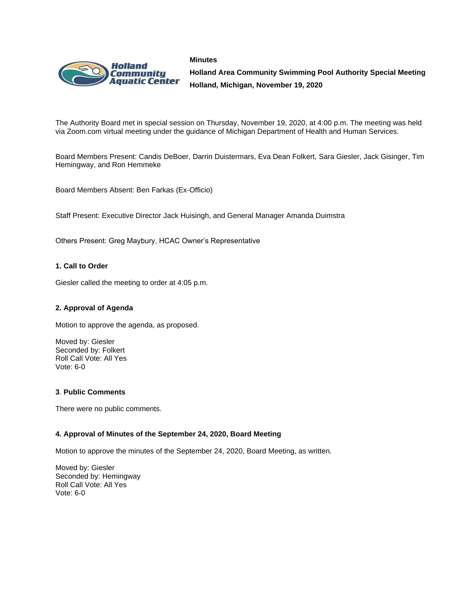



**Holland Area Community Swimming Pool Authority Special Meeting Holland, Michigan, November 19, 2020**

The Authority Board met in special session on Thursday, November 19, 2020, at 4:00 p.m. The meeting was held via Zoom.com virtual meeting under the guidance of Michigan Department of Health and Human Services.

Board Members Present: Candis DeBoer, Darrin Duistermars, Eva Dean Folkert, Sara Giesler, Jack Gisinger, Tim Hemingway, and Ron Hemmeke

Board Members Absent: Ben Farkas (Ex-Officio)

Staff Present: Executive Director Jack Huisingh, and General Manager Amanda Duimstra

Others Present: Greg Maybury, HCAC Owner's Representative

## **1. Call to Order**

Giesler called the meeting to order at 4:05 p.m.

#### **2. Approval of Agenda**

Motion to approve the agenda, as proposed.

Moved by: Giesler Seconded by: Folkert Roll Call Vote: All Yes Vote: 6-0

#### **3**. **Public Comments**

There were no public comments.

#### **4. Approval of Minutes of the September 24, 2020, Board Meeting**

Motion to approve the minutes of the September 24, 2020, Board Meeting, as written.

Moved by: Giesler Seconded by: Hemingway Roll Call Vote: All Yes Vote: 6-0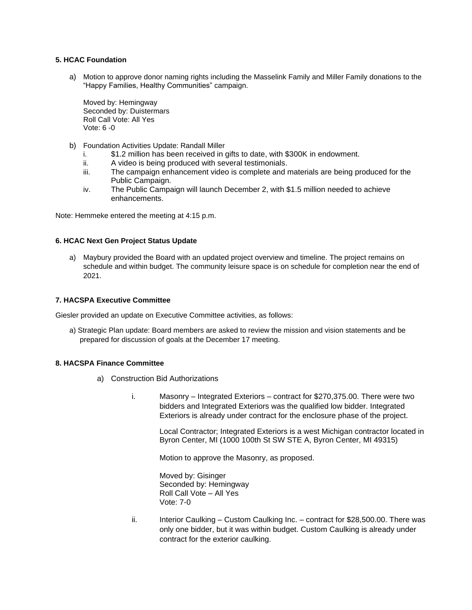# **5. HCAC Foundation**

a) Motion to approve donor naming rights including the Masselink Family and Miller Family donations to the "Happy Families, Healthy Communities" campaign.

Moved by: Hemingway Seconded by: Duistermars Roll Call Vote: All Yes Vote: 6 -0

- b) Foundation Activities Update: Randall Miller
	- \$1.2 million has been received in gifts to date, with \$300K in endowment.
	- ii. A video is being produced with several testimonials.
	- iii. The campaign enhancement video is complete and materials are being produced for the Public Campaign.
	- iv. The Public Campaign will launch December 2, with \$1.5 million needed to achieve enhancements.

Note: Hemmeke entered the meeting at 4:15 p.m.

#### **6. HCAC Next Gen Project Status Update**

a) Maybury provided the Board with an updated project overview and timeline. The project remains on schedule and within budget. The community leisure space is on schedule for completion near the end of 2021.

## **7. HACSPA Executive Committee**

Giesler provided an update on Executive Committee activities, as follows:

a) Strategic Plan update: Board members are asked to review the mission and vision statements and be prepared for discussion of goals at the December 17 meeting.

#### **8. HACSPA Finance Committee**

- a) Construction Bid Authorizations
	- i. Masonry Integrated Exteriors contract for \$270,375.00. There were two bidders and Integrated Exteriors was the qualified low bidder. Integrated Exteriors is already under contract for the enclosure phase of the project.

Local Contractor; Integrated Exteriors is a west Michigan contractor located in Byron Center, MI (1000 100th St SW STE A, Byron Center, MI 49315)

Motion to approve the Masonry, as proposed.

Moved by: Gisinger Seconded by: Hemingway Roll Call Vote – All Yes Vote: 7-0

ii. Interior Caulking – Custom Caulking Inc. – contract for \$28,500.00. There was only one bidder, but it was within budget. Custom Caulking is already under contract for the exterior caulking.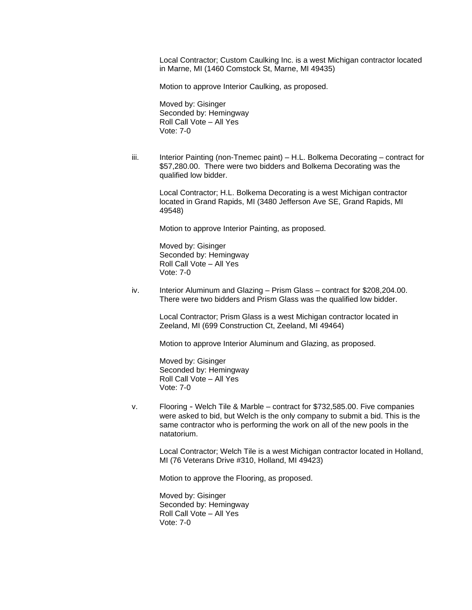Local Contractor; Custom Caulking Inc. is a west Michigan contractor located in Marne, MI (1460 Comstock St, Marne, MI 49435)

Motion to approve Interior Caulking, as proposed.

Moved by: Gisinger Seconded by: Hemingway Roll Call Vote – All Yes Vote: 7-0

iii. Interior Painting (non-Tnemec paint) – H.L. Bolkema Decorating – contract for \$57,280.00. There were two bidders and Bolkema Decorating was the qualified low bidder.

Local Contractor; H.L. Bolkema Decorating is a west Michigan contractor located in Grand Rapids, MI (3480 Jefferson Ave SE, Grand Rapids, MI 49548)

Motion to approve Interior Painting, as proposed.

Moved by: Gisinger Seconded by: Hemingway Roll Call Vote – All Yes Vote: 7-0

iv. Interior Aluminum and Glazing – Prism Glass – contract for \$208,204.00. There were two bidders and Prism Glass was the qualified low bidder.

> Local Contractor; Prism Glass is a west Michigan contractor located in Zeeland, MI (699 Construction Ct, Zeeland, MI 49464)

Motion to approve Interior Aluminum and Glazing, as proposed.

Moved by: Gisinger Seconded by: Hemingway Roll Call Vote – All Yes Vote: 7-0

v. Flooring - Welch Tile & Marble – contract for \$732,585.00. Five companies were asked to bid, but Welch is the only company to submit a bid. This is the same contractor who is performing the work on all of the new pools in the natatorium.

Local Contractor; Welch Tile is a west Michigan contractor located in Holland, MI (76 Veterans Drive #310, Holland, MI 49423)

Motion to approve the Flooring, as proposed.

Moved by: Gisinger Seconded by: Hemingway Roll Call Vote – All Yes Vote: 7-0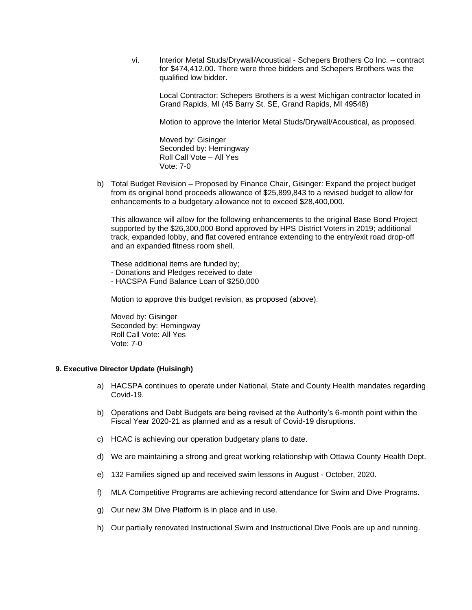vi. Interior Metal Studs/Drywall/Acoustical - Schepers Brothers Co Inc. – contract for \$474,412.00. There were three bidders and Schepers Brothers was the qualified low bidder.

Local Contractor; Schepers Brothers is a west Michigan contractor located in Grand Rapids, MI (45 Barry St. SE, Grand Rapids, MI 49548)

Motion to approve the Interior Metal Studs/Drywall/Acoustical, as proposed.

Moved by: Gisinger Seconded by: Hemingway Roll Call Vote – All Yes Vote: 7-0

b) Total Budget Revision – Proposed by Finance Chair, Gisinger: Expand the project budget from its original bond proceeds allowance of \$25,899,843 to a revised budget to allow for enhancements to a budgetary allowance not to exceed \$28,400,000.

This allowance will allow for the following enhancements to the original Base Bond Project supported by the \$26,300,000 Bond approved by HPS District Voters in 2019; additional track, expanded lobby, and flat covered entrance extending to the entry/exit road drop-off and an expanded fitness room shell.

These additional items are funded by;

- Donations and Pledges received to date
- HACSPA Fund Balance Loan of \$250,000

Motion to approve this budget revision, as proposed (above).

Moved by: Gisinger Seconded by: Hemingway Roll Call Vote: All Yes Vote: 7-0

# **9. Executive Director Update (Huisingh)**

- a) HACSPA continues to operate under National, State and County Health mandates regarding Covid-19.
- b) Operations and Debt Budgets are being revised at the Authority's 6-month point within the Fiscal Year 2020-21 as planned and as a result of Covid-19 disruptions.
- c) HCAC is achieving our operation budgetary plans to date.
- d) We are maintaining a strong and great working relationship with Ottawa County Health Dept.
- e) 132 Families signed up and received swim lessons in August October, 2020.
- f) MLA Competitive Programs are achieving record attendance for Swim and Dive Programs.
- g) Our new 3M Dive Platform is in place and in use.
- h) Our partially renovated Instructional Swim and Instructional Dive Pools are up and running.